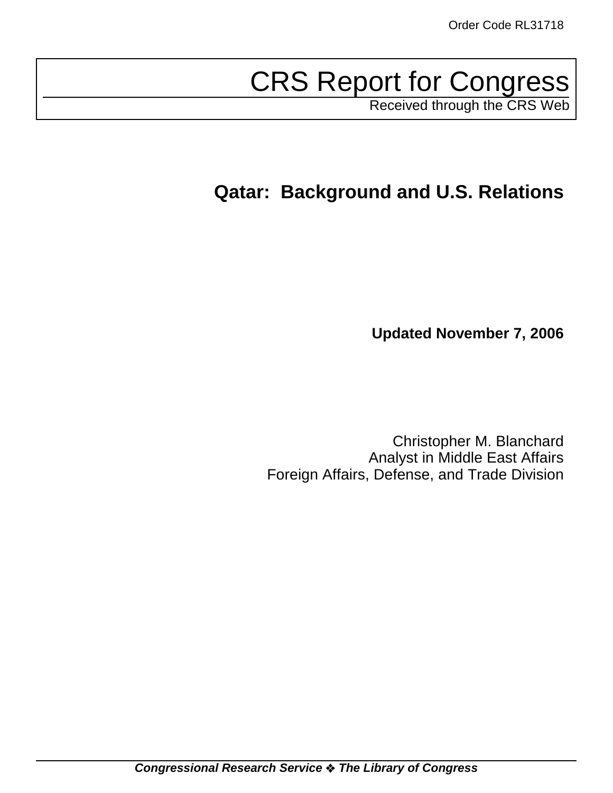# CRS Report for Congress

Received through the CRS Web

## **Qatar: Background and U.S. Relations**

**Updated November 7, 2006**

Christopher M. Blanchard Analyst in Middle East Affairs Foreign Affairs, Defense, and Trade Division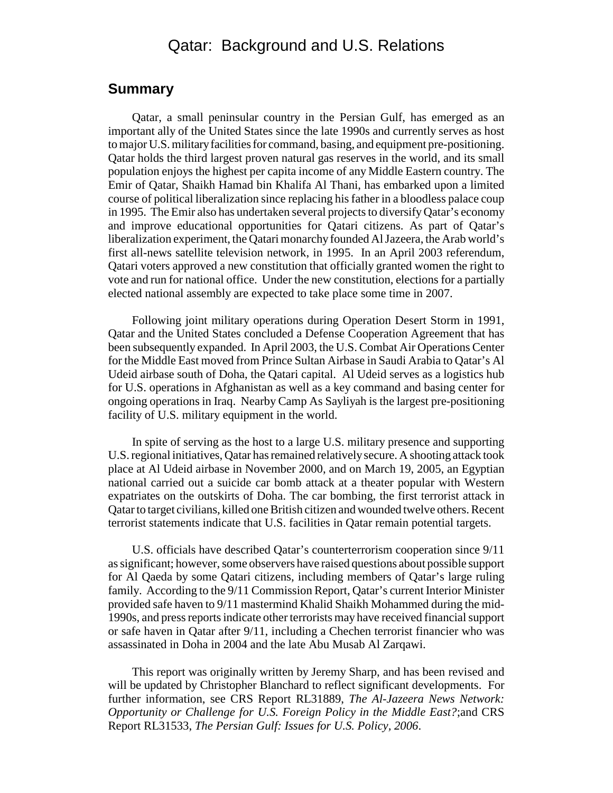## Qatar: Background and U.S. Relations

### **Summary**

Qatar, a small peninsular country in the Persian Gulf, has emerged as an important ally of the United States since the late 1990s and currently serves as host to major U.S. military facilities for command, basing, and equipment pre-positioning. Qatar holds the third largest proven natural gas reserves in the world, and its small population enjoys the highest per capita income of any Middle Eastern country. The Emir of Qatar, Shaikh Hamad bin Khalifa Al Thani, has embarked upon a limited course of political liberalization since replacing his father in a bloodless palace coup in 1995. The Emir also has undertaken several projects to diversify Qatar's economy and improve educational opportunities for Qatari citizens. As part of Qatar's liberalization experiment, the Qatari monarchy founded Al Jazeera, the Arab world's first all-news satellite television network, in 1995. In an April 2003 referendum, Qatari voters approved a new constitution that officially granted women the right to vote and run for national office. Under the new constitution, elections for a partially elected national assembly are expected to take place some time in 2007.

Following joint military operations during Operation Desert Storm in 1991, Qatar and the United States concluded a Defense Cooperation Agreement that has been subsequently expanded. In April 2003, the U.S. Combat Air Operations Center for the Middle East moved from Prince Sultan Airbase in Saudi Arabia to Qatar's Al Udeid airbase south of Doha, the Qatari capital. Al Udeid serves as a logistics hub for U.S. operations in Afghanistan as well as a key command and basing center for ongoing operations in Iraq. Nearby Camp As Sayliyah is the largest pre-positioning facility of U.S. military equipment in the world.

In spite of serving as the host to a large U.S. military presence and supporting U.S. regional initiatives, Qatar has remained relatively secure. A shooting attack took place at Al Udeid airbase in November 2000, and on March 19, 2005, an Egyptian national carried out a suicide car bomb attack at a theater popular with Western expatriates on the outskirts of Doha. The car bombing, the first terrorist attack in Qatar to target civilians, killed one British citizen and wounded twelve others. Recent terrorist statements indicate that U.S. facilities in Qatar remain potential targets.

U.S. officials have described Qatar's counterterrorism cooperation since 9/11 as significant; however, some observers have raised questions about possible support for Al Qaeda by some Qatari citizens, including members of Qatar's large ruling family. According to the 9/11 Commission Report, Qatar's current Interior Minister provided safe haven to 9/11 mastermind Khalid Shaikh Mohammed during the mid-1990s, and press reports indicate other terrorists may have received financial support or safe haven in Qatar after 9/11, including a Chechen terrorist financier who was assassinated in Doha in 2004 and the late Abu Musab Al Zarqawi.

This report was originally written by Jeremy Sharp, and has been revised and will be updated by Christopher Blanchard to reflect significant developments. For further information, see CRS Report RL31889, *The Al-Jazeera News Network: Opportunity or Challenge for U.S. Foreign Policy in the Middle East?*;and CRS Report RL31533, *The Persian Gulf: Issues for U.S. Policy, 2006*.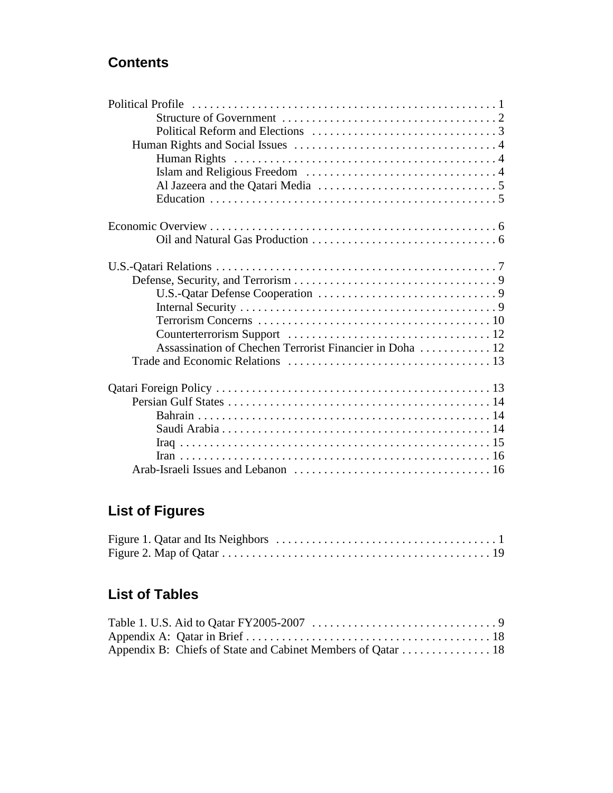## **Contents**

| Assassination of Chechen Terrorist Financier in Doha  12 |  |
|----------------------------------------------------------|--|
|                                                          |  |
|                                                          |  |
|                                                          |  |
|                                                          |  |
|                                                          |  |
|                                                          |  |
|                                                          |  |
|                                                          |  |

## **List of Figures**

## **List of Tables**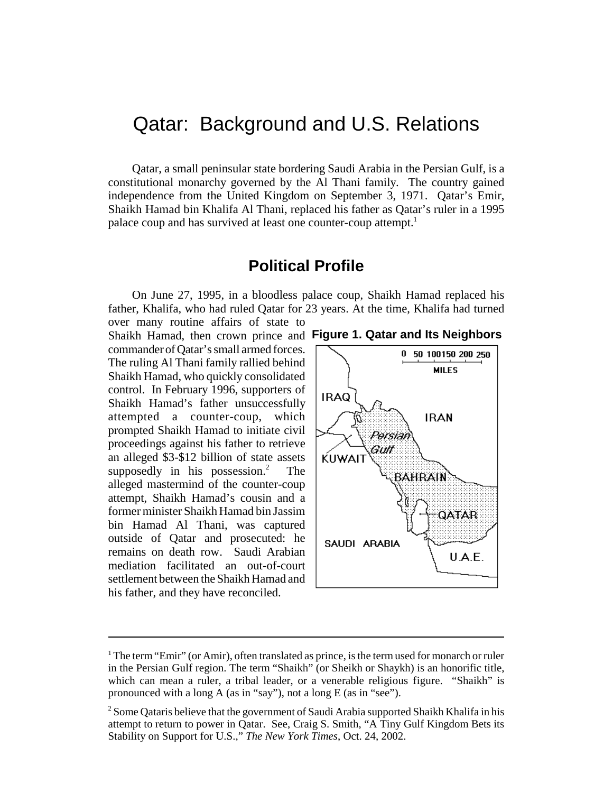## Qatar: Background and U.S. Relations

Qatar, a small peninsular state bordering Saudi Arabia in the Persian Gulf, is a constitutional monarchy governed by the Al Thani family. The country gained independence from the United Kingdom on September 3, 1971. Qatar's Emir, Shaikh Hamad bin Khalifa Al Thani, replaced his father as Qatar's ruler in a 1995 palace coup and has survived at least one counter-coup attempt.<sup>1</sup>

## **Political Profile**

On June 27, 1995, in a bloodless palace coup, Shaikh Hamad replaced his father, Khalifa, who had ruled Qatar for 23 years. At the time, Khalifa had turned over many routine affairs of state to

Shaikh Hamad, then crown prince and **Figure 1. Qatar and Its Neighbors**commander of Qatar's small armed forces. The ruling Al Thani family rallied behind Shaikh Hamad, who quickly consolidated control. In February 1996, supporters of Shaikh Hamad's father unsuccessfully attempted a counter-coup, which prompted Shaikh Hamad to initiate civil proceedings against his father to retrieve an alleged \$3-\$12 billion of state assets supposedly in his possession.<sup>2</sup> The alleged mastermind of the counter-coup attempt, Shaikh Hamad's cousin and a former minister Shaikh Hamad bin Jassim bin Hamad Al Thani, was captured outside of Qatar and prosecuted: he remains on death row. Saudi Arabian mediation facilitated an out-of-court settlement between the Shaikh Hamad and his father, and they have reconciled.





 $1$  The term "Emir" (or Amir), often translated as prince, is the term used for monarch or ruler in the Persian Gulf region. The term "Shaikh" (or Sheikh or Shaykh) is an honorific title, which can mean a ruler, a tribal leader, or a venerable religious figure. "Shaikh" is pronounced with a long A (as in "say"), not a long E (as in "see").

 $2$  Some Qataris believe that the government of Saudi Arabia supported Shaikh Khalifa in his attempt to return to power in Qatar. See, Craig S. Smith, "A Tiny Gulf Kingdom Bets its Stability on Support for U.S.," *The New York Times*, Oct. 24, 2002.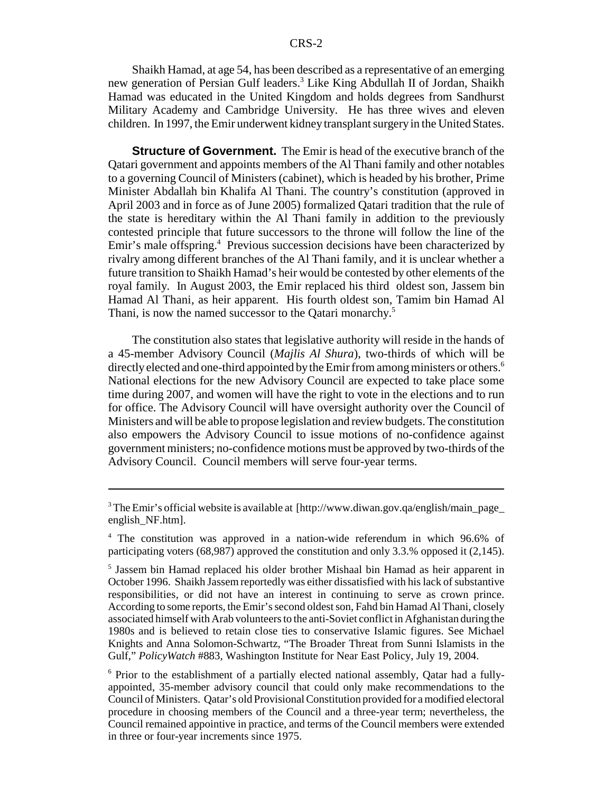Shaikh Hamad, at age 54, has been described as a representative of an emerging new generation of Persian Gulf leaders.<sup>3</sup> Like King Abdullah II of Jordan, Shaikh Hamad was educated in the United Kingdom and holds degrees from Sandhurst Military Academy and Cambridge University. He has three wives and eleven children. In 1997, the Emir underwent kidney transplant surgery in the United States.

**Structure of Government.** The Emir is head of the executive branch of the Qatari government and appoints members of the Al Thani family and other notables to a governing Council of Ministers (cabinet), which is headed by his brother, Prime Minister Abdallah bin Khalifa Al Thani. The country's constitution (approved in April 2003 and in force as of June 2005) formalized Qatari tradition that the rule of the state is hereditary within the Al Thani family in addition to the previously contested principle that future successors to the throne will follow the line of the Emir's male offspring.<sup>4</sup> Previous succession decisions have been characterized by rivalry among different branches of the Al Thani family, and it is unclear whether a future transition to Shaikh Hamad's heir would be contested by other elements of the royal family. In August 2003, the Emir replaced his third oldest son, Jassem bin Hamad Al Thani, as heir apparent. His fourth oldest son, Tamim bin Hamad Al Thani, is now the named successor to the Qatari monarchy.<sup>5</sup>

The constitution also states that legislative authority will reside in the hands of a 45-member Advisory Council (*Majlis Al Shura*), two-thirds of which will be directly elected and one-third appointed by the Emir from among ministers or others.<sup>6</sup> National elections for the new Advisory Council are expected to take place some time during 2007, and women will have the right to vote in the elections and to run for office. The Advisory Council will have oversight authority over the Council of Ministers and will be able to propose legislation and review budgets. The constitution also empowers the Advisory Council to issue motions of no-confidence against government ministers; no-confidence motions must be approved by two-thirds of the Advisory Council. Council members will serve four-year terms.

<sup>6</sup> Prior to the establishment of a partially elected national assembly, Qatar had a fullyappointed, 35-member advisory council that could only make recommendations to the Council of Ministers. Qatar's old Provisional Constitution provided for a modified electoral procedure in choosing members of the Council and a three-year term; nevertheless, the Council remained appointive in practice, and terms of the Council members were extended in three or four-year increments since 1975.

<sup>&</sup>lt;sup>3</sup> The Emir's official website is available at [http://www.diwan.gov.qa/english/main\_page\_ english\_NF.htm].

<sup>4</sup> The constitution was approved in a nation-wide referendum in which 96.6% of participating voters (68,987) approved the constitution and only 3.3.% opposed it (2,145).

<sup>5</sup> Jassem bin Hamad replaced his older brother Mishaal bin Hamad as heir apparent in October 1996. Shaikh Jassem reportedly was either dissatisfied with his lack of substantive responsibilities, or did not have an interest in continuing to serve as crown prince. According to some reports, the Emir's second oldest son, Fahd bin Hamad Al Thani, closely associated himself with Arab volunteers to the anti-Soviet conflict in Afghanistan during the 1980s and is believed to retain close ties to conservative Islamic figures. See Michael Knights and Anna Solomon-Schwartz, "The Broader Threat from Sunni Islamists in the Gulf," *PolicyWatch* #883, Washington Institute for Near East Policy, July 19, 2004.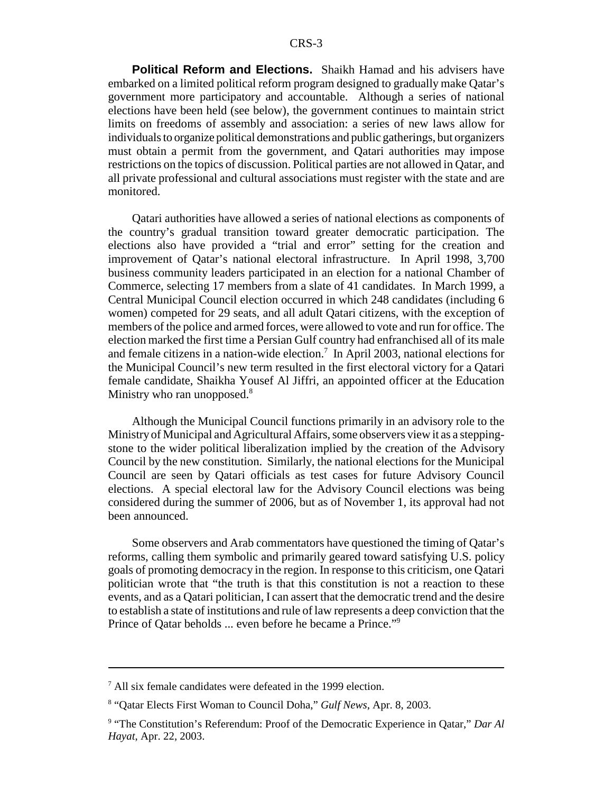**Political Reform and Elections.** Shaikh Hamad and his advisers have embarked on a limited political reform program designed to gradually make Qatar's government more participatory and accountable. Although a series of national elections have been held (see below), the government continues to maintain strict limits on freedoms of assembly and association: a series of new laws allow for individuals to organize political demonstrations and public gatherings, but organizers must obtain a permit from the government, and Qatari authorities may impose restrictions on the topics of discussion. Political parties are not allowed in Qatar, and all private professional and cultural associations must register with the state and are monitored.

Qatari authorities have allowed a series of national elections as components of the country's gradual transition toward greater democratic participation. The elections also have provided a "trial and error" setting for the creation and improvement of Qatar's national electoral infrastructure. In April 1998, 3,700 business community leaders participated in an election for a national Chamber of Commerce, selecting 17 members from a slate of 41 candidates. In March 1999, a Central Municipal Council election occurred in which 248 candidates (including 6 women) competed for 29 seats, and all adult Qatari citizens, with the exception of members of the police and armed forces, were allowed to vote and run for office. The election marked the first time a Persian Gulf country had enfranchised all of its male and female citizens in a nation-wide election.<sup>7</sup> In April 2003, national elections for the Municipal Council's new term resulted in the first electoral victory for a Qatari female candidate, Shaikha Yousef Al Jiffri, an appointed officer at the Education Ministry who ran unopposed. $8$ 

Although the Municipal Council functions primarily in an advisory role to the Ministry of Municipal and Agricultural Affairs, some observers view it as a steppingstone to the wider political liberalization implied by the creation of the Advisory Council by the new constitution. Similarly, the national elections for the Municipal Council are seen by Qatari officials as test cases for future Advisory Council elections. A special electoral law for the Advisory Council elections was being considered during the summer of 2006, but as of November 1, its approval had not been announced.

Some observers and Arab commentators have questioned the timing of Qatar's reforms, calling them symbolic and primarily geared toward satisfying U.S. policy goals of promoting democracy in the region. In response to this criticism, one Qatari politician wrote that "the truth is that this constitution is not a reaction to these events, and as a Qatari politician, I can assert that the democratic trend and the desire to establish a state of institutions and rule of law represents a deep conviction that the Prince of Qatar beholds ... even before he became a Prince."9

<sup>7</sup> All six female candidates were defeated in the 1999 election.

<sup>8</sup> "Qatar Elects First Woman to Council Doha," *Gulf News*, Apr. 8, 2003.

<sup>&</sup>lt;sup>9</sup> "The Constitution's Referendum: Proof of the Democratic Experience in Qatar," Dar Al *Hayat*, Apr. 22, 2003.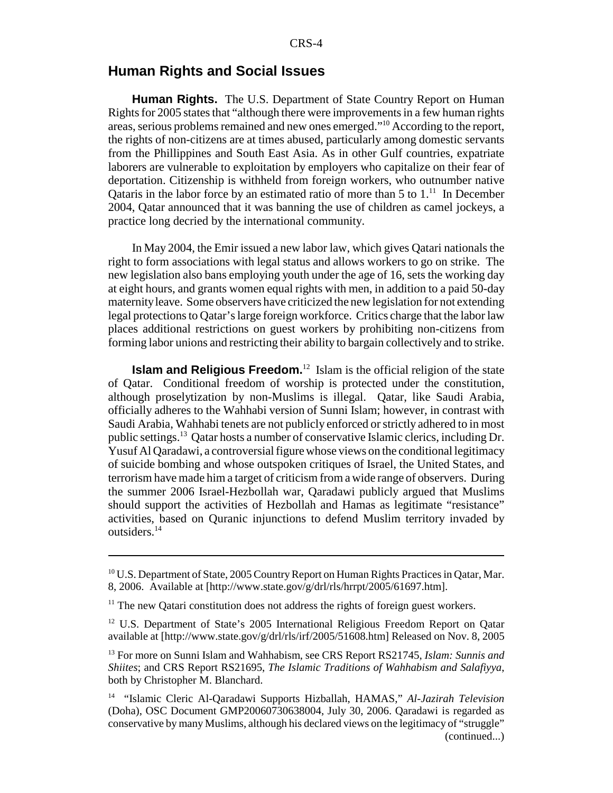#### **Human Rights and Social Issues**

**Human Rights.** The U.S. Department of State Country Report on Human Rights for 2005 states that "although there were improvements in a few human rights areas, serious problems remained and new ones emerged."10 According to the report, the rights of non-citizens are at times abused, particularly among domestic servants from the Phillippines and South East Asia. As in other Gulf countries, expatriate laborers are vulnerable to exploitation by employers who capitalize on their fear of deportation. Citizenship is withheld from foreign workers, who outnumber native Oataris in the labor force by an estimated ratio of more than 5 to  $1<sup>11</sup>$ . In December 2004, Qatar announced that it was banning the use of children as camel jockeys, a practice long decried by the international community.

In May 2004, the Emir issued a new labor law, which gives Qatari nationals the right to form associations with legal status and allows workers to go on strike. The new legislation also bans employing youth under the age of 16, sets the working day at eight hours, and grants women equal rights with men, in addition to a paid 50-day maternity leave. Some observers have criticized the new legislation for not extending legal protections to Qatar's large foreign workforce. Critics charge that the labor law places additional restrictions on guest workers by prohibiting non-citizens from forming labor unions and restricting their ability to bargain collectively and to strike.

**Islam and Religious Freedom.**<sup>12</sup> Islam is the official religion of the state of Qatar. Conditional freedom of worship is protected under the constitution, although proselytization by non-Muslims is illegal. Qatar, like Saudi Arabia, officially adheres to the Wahhabi version of Sunni Islam; however, in contrast with Saudi Arabia, Wahhabi tenets are not publicly enforced or strictly adhered to in most public settings.13 Qatar hosts a number of conservative Islamic clerics, including Dr. Yusuf Al Qaradawi, a controversial figure whose views on the conditional legitimacy of suicide bombing and whose outspoken critiques of Israel, the United States, and terrorism have made him a target of criticism from a wide range of observers. During the summer 2006 Israel-Hezbollah war, Qaradawi publicly argued that Muslims should support the activities of Hezbollah and Hamas as legitimate "resistance" activities, based on Quranic injunctions to defend Muslim territory invaded by outsiders.<sup>14</sup>

 $^{10}$  U.S. Department of State, 2005 Country Report on Human Rights Practices in Qatar, Mar. 8, 2006. Available at [http://www.state.gov/g/drl/rls/hrrpt/2005/61697.htm].

 $11$  The new Qatari constitution does not address the rights of foreign guest workers.

<sup>&</sup>lt;sup>12</sup> U.S. Department of State's 2005 International Religious Freedom Report on Qatar available at [http://www.state.gov/g/drl/rls/irf/2005/51608.htm] Released on Nov. 8, 2005

<sup>13</sup> For more on Sunni Islam and Wahhabism, see CRS Report RS21745, *Islam: Sunnis and Shiites*; and CRS Report RS21695, *The Islamic Traditions of Wahhabism and Salafiyya*, both by Christopher M. Blanchard.

<sup>14 &</sup>quot;Islamic Cleric Al-Qaradawi Supports Hizballah, HAMAS," *Al-Jazirah Television* (Doha), OSC Document GMP20060730638004, July 30, 2006. Qaradawi is regarded as conservative by many Muslims, although his declared views on the legitimacy of "struggle" (continued...)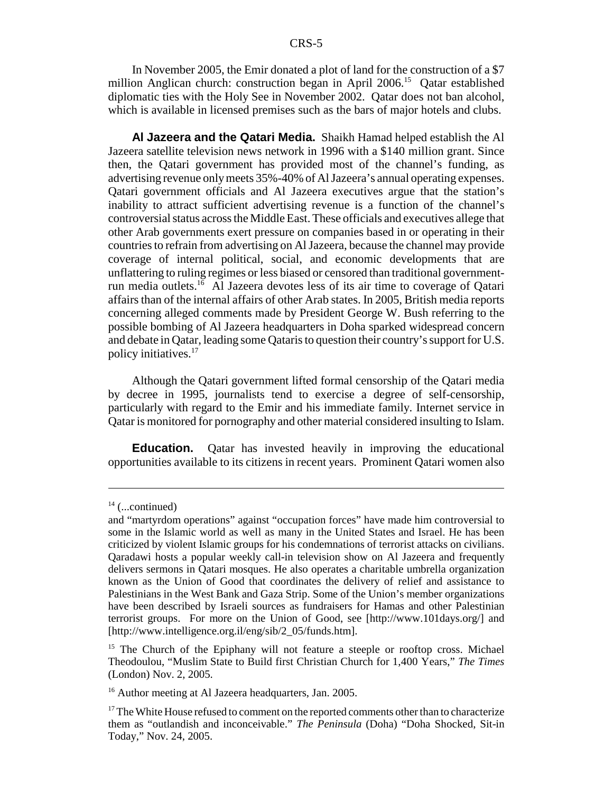In November 2005, the Emir donated a plot of land for the construction of a \$7 million Anglican church: construction began in April 2006.15 Qatar established diplomatic ties with the Holy See in November 2002. Qatar does not ban alcohol, which is available in licensed premises such as the bars of major hotels and clubs.

**Al Jazeera and the Qatari Media.** Shaikh Hamad helped establish the Al Jazeera satellite television news network in 1996 with a \$140 million grant. Since then, the Qatari government has provided most of the channel's funding, as advertising revenue only meets 35%-40% of Al Jazeera's annual operating expenses. Qatari government officials and Al Jazeera executives argue that the station's inability to attract sufficient advertising revenue is a function of the channel's controversial status across the Middle East. These officials and executives allege that other Arab governments exert pressure on companies based in or operating in their countries to refrain from advertising on Al Jazeera, because the channel may provide coverage of internal political, social, and economic developments that are unflattering to ruling regimes or less biased or censored than traditional governmentrun media outlets.16 Al Jazeera devotes less of its air time to coverage of Qatari affairs than of the internal affairs of other Arab states. In 2005, British media reports concerning alleged comments made by President George W. Bush referring to the possible bombing of Al Jazeera headquarters in Doha sparked widespread concern and debate in Qatar, leading some Qataris to question their country's support for U.S. policy initiatives.17

Although the Qatari government lifted formal censorship of the Qatari media by decree in 1995, journalists tend to exercise a degree of self-censorship, particularly with regard to the Emir and his immediate family. Internet service in Qatar is monitored for pornography and other material considered insulting to Islam.

**Education.** Qatar has invested heavily in improving the educational opportunities available to its citizens in recent years. Prominent Qatari women also

 $14$  (...continued)

and "martyrdom operations" against "occupation forces" have made him controversial to some in the Islamic world as well as many in the United States and Israel. He has been criticized by violent Islamic groups for his condemnations of terrorist attacks on civilians. Qaradawi hosts a popular weekly call-in television show on Al Jazeera and frequently delivers sermons in Qatari mosques. He also operates a charitable umbrella organization known as the Union of Good that coordinates the delivery of relief and assistance to Palestinians in the West Bank and Gaza Strip. Some of the Union's member organizations have been described by Israeli sources as fundraisers for Hamas and other Palestinian terrorist groups. For more on the Union of Good, see [http://www.101days.org/] and [http://www.intelligence.org.il/eng/sib/2\_05/funds.htm].

<sup>&</sup>lt;sup>15</sup> The Church of the Epiphany will not feature a steeple or rooftop cross. Michael Theodoulou, "Muslim State to Build first Christian Church for 1,400 Years," *The Times* (London) Nov. 2, 2005.

<sup>&</sup>lt;sup>16</sup> Author meeting at Al Jazeera headquarters, Jan. 2005.

 $17$  The White House refused to comment on the reported comments other than to characterize them as "outlandish and inconceivable." *The Peninsula* (Doha) "Doha Shocked, Sit-in Today," Nov. 24, 2005.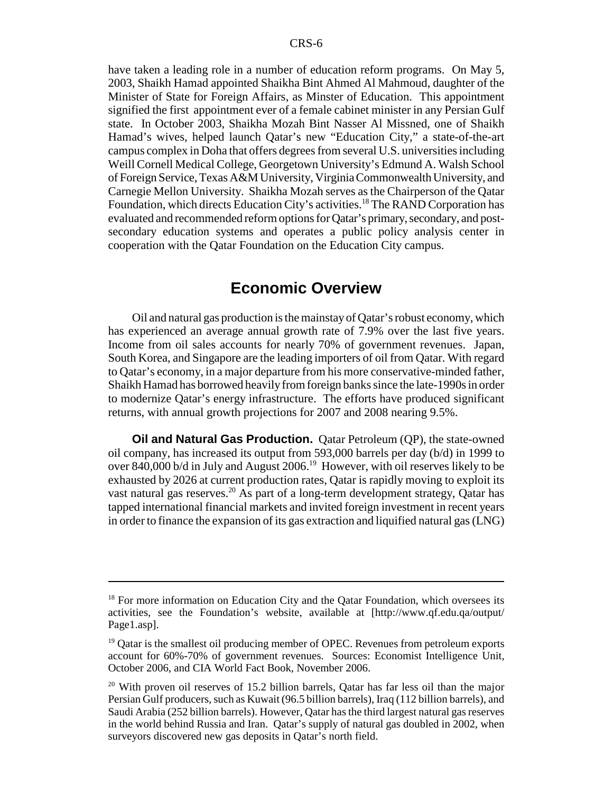have taken a leading role in a number of education reform programs. On May 5, 2003, Shaikh Hamad appointed Shaikha Bint Ahmed Al Mahmoud, daughter of the Minister of State for Foreign Affairs, as Minster of Education. This appointment signified the first appointment ever of a female cabinet minister in any Persian Gulf state. In October 2003, Shaikha Mozah Bint Nasser Al Missned, one of Shaikh Hamad's wives, helped launch Qatar's new "Education City," a state-of-the-art campus complex in Doha that offers degrees from several U.S. universities including Weill Cornell Medical College, Georgetown University's Edmund A. Walsh School of Foreign Service, Texas A&M University, Virginia Commonwealth University, and Carnegie Mellon University. Shaikha Mozah serves as the Chairperson of the Qatar Foundation, which directs Education City's activities.<sup>18</sup> The RAND Corporation has evaluated and recommended reform options for Qatar's primary, secondary, and postsecondary education systems and operates a public policy analysis center in cooperation with the Qatar Foundation on the Education City campus.

## **Economic Overview**

Oil and natural gas production is the mainstay of Qatar's robust economy, which has experienced an average annual growth rate of 7.9% over the last five years. Income from oil sales accounts for nearly 70% of government revenues. Japan, South Korea, and Singapore are the leading importers of oil from Qatar. With regard to Qatar's economy, in a major departure from his more conservative-minded father, Shaikh Hamad has borrowed heavily from foreign banks since the late-1990s in order to modernize Qatar's energy infrastructure. The efforts have produced significant returns, with annual growth projections for 2007 and 2008 nearing 9.5%.

**Oil and Natural Gas Production.** Qatar Petroleum (QP), the state-owned oil company, has increased its output from 593,000 barrels per day (b/d) in 1999 to over 840,000 b/d in July and August  $2006<sup>19</sup>$  However, with oil reserves likely to be exhausted by 2026 at current production rates, Qatar is rapidly moving to exploit its vast natural gas reserves.<sup>20</sup> As part of a long-term development strategy, Qatar has tapped international financial markets and invited foreign investment in recent years in order to finance the expansion of its gas extraction and liquified natural gas (LNG)

<sup>&</sup>lt;sup>18</sup> For more information on Education City and the Qatar Foundation, which oversees its activities, see the Foundation's website, available at [http://www.qf.edu.qa/output/ Page1.asp].

<sup>&</sup>lt;sup>19</sup> Qatar is the smallest oil producing member of OPEC. Revenues from petroleum exports account for 60%-70% of government revenues. Sources: Economist Intelligence Unit, October 2006, and CIA World Fact Book, November 2006.

<sup>&</sup>lt;sup>20</sup> With proven oil reserves of 15.2 billion barrels, Qatar has far less oil than the major Persian Gulf producers, such as Kuwait (96.5 billion barrels), Iraq (112 billion barrels), and Saudi Arabia (252 billion barrels). However, Qatar has the third largest natural gas reserves in the world behind Russia and Iran. Qatar's supply of natural gas doubled in 2002, when surveyors discovered new gas deposits in Qatar's north field.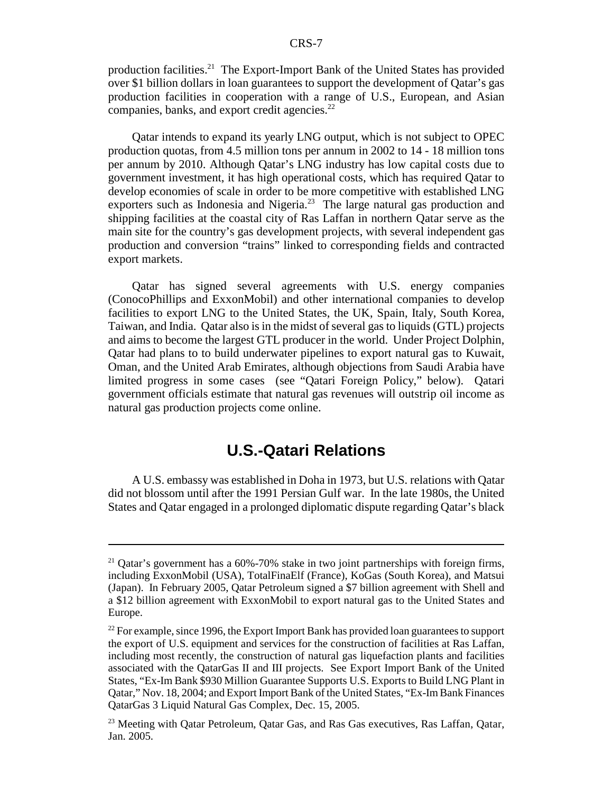production facilities.21 The Export-Import Bank of the United States has provided over \$1 billion dollars in loan guarantees to support the development of Qatar's gas production facilities in cooperation with a range of U.S., European, and Asian companies, banks, and export credit agencies. $^{22}$ 

Qatar intends to expand its yearly LNG output, which is not subject to OPEC production quotas, from 4.5 million tons per annum in 2002 to 14 - 18 million tons per annum by 2010. Although Qatar's LNG industry has low capital costs due to government investment, it has high operational costs, which has required Qatar to develop economies of scale in order to be more competitive with established LNG exporters such as Indonesia and Nigeria.<sup>23</sup> The large natural gas production and shipping facilities at the coastal city of Ras Laffan in northern Qatar serve as the main site for the country's gas development projects, with several independent gas production and conversion "trains" linked to corresponding fields and contracted export markets.

Qatar has signed several agreements with U.S. energy companies (ConocoPhillips and ExxonMobil) and other international companies to develop facilities to export LNG to the United States, the UK, Spain, Italy, South Korea, Taiwan, and India. Qatar also is in the midst of several gas to liquids (GTL) projects and aims to become the largest GTL producer in the world. Under Project Dolphin, Qatar had plans to to build underwater pipelines to export natural gas to Kuwait, Oman, and the United Arab Emirates, although objections from Saudi Arabia have limited progress in some cases (see "Qatari Foreign Policy," below). Qatari government officials estimate that natural gas revenues will outstrip oil income as natural gas production projects come online.

## **U.S.-Qatari Relations**

A U.S. embassy was established in Doha in 1973, but U.S. relations with Qatar did not blossom until after the 1991 Persian Gulf war. In the late 1980s, the United States and Qatar engaged in a prolonged diplomatic dispute regarding Qatar's black

 $21$  Qatar's government has a 60%-70% stake in two joint partnerships with foreign firms, including ExxonMobil (USA), TotalFinaElf (France), KoGas (South Korea), and Matsui (Japan). In February 2005, Qatar Petroleum signed a \$7 billion agreement with Shell and a \$12 billion agreement with ExxonMobil to export natural gas to the United States and Europe.

 $^{22}$  For example, since 1996, the Export Import Bank has provided loan guarantees to support the export of U.S. equipment and services for the construction of facilities at Ras Laffan, including most recently, the construction of natural gas liquefaction plants and facilities associated with the QatarGas II and III projects. See Export Import Bank of the United States, "Ex-Im Bank \$930 Million Guarantee Supports U.S. Exports to Build LNG Plant in Qatar," Nov. 18, 2004; and Export Import Bank of the United States, "Ex-Im Bank Finances QatarGas 3 Liquid Natural Gas Complex, Dec. 15, 2005.

<sup>&</sup>lt;sup>23</sup> Meeting with Qatar Petroleum, Qatar Gas, and Ras Gas executives, Ras Laffan, Qatar, Jan. 2005.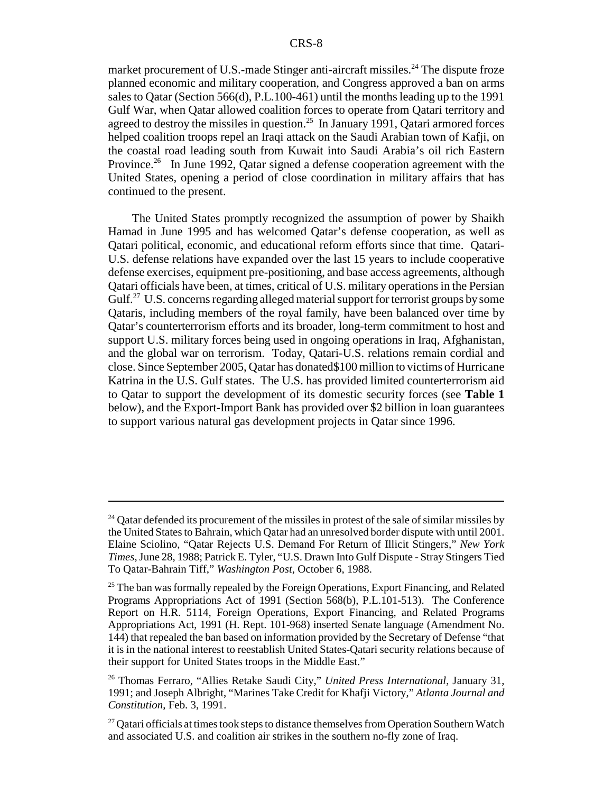market procurement of U.S.-made Stinger anti-aircraft missiles.<sup>24</sup> The dispute froze planned economic and military cooperation, and Congress approved a ban on arms sales to Qatar (Section 566(d), P.L.100-461) until the months leading up to the 1991 Gulf War, when Qatar allowed coalition forces to operate from Qatari territory and agreed to destroy the missiles in question.<sup>25</sup> In January 1991, Qatari armored forces helped coalition troops repel an Iraqi attack on the Saudi Arabian town of Kafji, on the coastal road leading south from Kuwait into Saudi Arabia's oil rich Eastern Province.<sup>26</sup> In June 1992, Qatar signed a defense cooperation agreement with the United States, opening a period of close coordination in military affairs that has continued to the present.

The United States promptly recognized the assumption of power by Shaikh Hamad in June 1995 and has welcomed Qatar's defense cooperation, as well as Qatari political, economic, and educational reform efforts since that time. Qatari-U.S. defense relations have expanded over the last 15 years to include cooperative defense exercises, equipment pre-positioning, and base access agreements, although Qatari officials have been, at times, critical of U.S. military operations in the Persian Gulf.<sup>27</sup> U.S. concerns regarding alleged material support for terrorist groups by some Qataris, including members of the royal family, have been balanced over time by Qatar's counterterrorism efforts and its broader, long-term commitment to host and support U.S. military forces being used in ongoing operations in Iraq, Afghanistan, and the global war on terrorism. Today, Qatari-U.S. relations remain cordial and close. Since September 2005, Qatar has donated\$100 million to victims of Hurricane Katrina in the U.S. Gulf states. The U.S. has provided limited counterterrorism aid to Qatar to support the development of its domestic security forces (see **Table 1** below), and the Export-Import Bank has provided over \$2 billion in loan guarantees to support various natural gas development projects in Qatar since 1996.

 $24$  Qatar defended its procurement of the missiles in protest of the sale of similar missiles by the United States to Bahrain, which Qatar had an unresolved border dispute with until 2001. Elaine Sciolino, "Qatar Rejects U.S. Demand For Return of Illicit Stingers," *New York Times*, June 28, 1988; Patrick E. Tyler, "U.S. Drawn Into Gulf Dispute - Stray Stingers Tied To Qatar-Bahrain Tiff," *Washington Post*, October 6, 1988.

<sup>&</sup>lt;sup>25</sup> The ban was formally repealed by the Foreign Operations, Export Financing, and Related Programs Appropriations Act of 1991 (Section 568(b), P.L.101-513). The Conference Report on H.R. 5114, Foreign Operations, Export Financing, and Related Programs Appropriations Act, 1991 (H. Rept. 101-968) inserted Senate language (Amendment No. 144) that repealed the ban based on information provided by the Secretary of Defense "that it is in the national interest to reestablish United States-Qatari security relations because of their support for United States troops in the Middle East."

<sup>26</sup> Thomas Ferraro, "Allies Retake Saudi City," *United Press International*, January 31, 1991; and Joseph Albright, "Marines Take Credit for Khafji Victory," *Atlanta Journal and Constitution*, Feb. 3, 1991.

 $27$  Qatari officials at times took steps to distance themselves from Operation Southern Watch and associated U.S. and coalition air strikes in the southern no-fly zone of Iraq.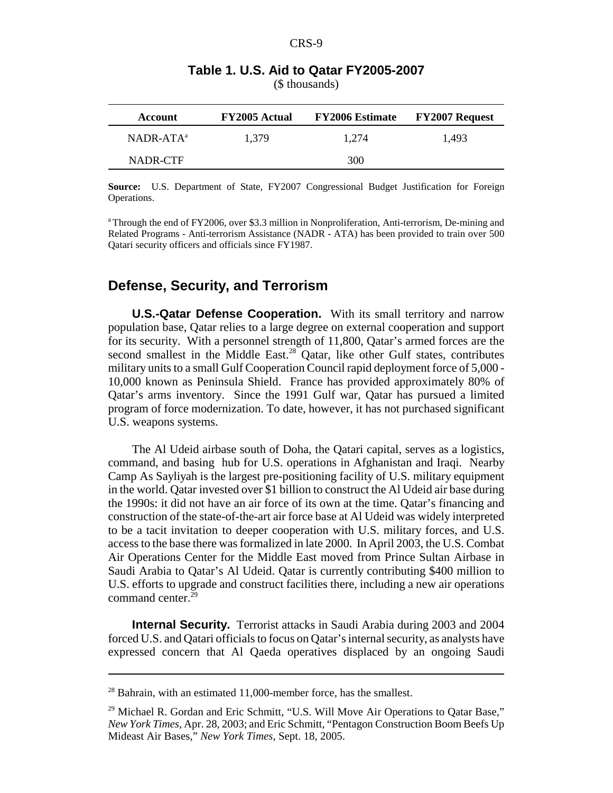| Account      | <b>FY2005 Actual</b> | <b>FY2006 Estimate</b> | <b>FY2007 Request</b> |
|--------------|----------------------|------------------------|-----------------------|
| $NADR-ATA^a$ | 1.379                | 1.274                  | 1.493                 |
| NADR-CTF     |                      | 300                    |                       |

## **Table 1. U.S. Aid to Qatar FY2005-2007**

(\$ thousands)

**Source:** U.S. Department of State, FY2007 Congressional Budget Justification for Foreign Operations.

a Through the end of FY2006, over \$3.3 million in Nonproliferation, Anti-terrorism, De-mining and Related Programs - Anti-terrorism Assistance (NADR - ATA) has been provided to train over 500 Qatari security officers and officials since FY1987.

### **Defense, Security, and Terrorism**

**U.S.-Qatar Defense Cooperation.** With its small territory and narrow population base, Qatar relies to a large degree on external cooperation and support for its security. With a personnel strength of 11,800, Qatar's armed forces are the second smallest in the Middle East.<sup>28</sup> Qatar, like other Gulf states, contributes military units to a small Gulf Cooperation Council rapid deployment force of 5,000 - 10,000 known as Peninsula Shield. France has provided approximately 80% of Qatar's arms inventory. Since the 1991 Gulf war, Qatar has pursued a limited program of force modernization. To date, however, it has not purchased significant U.S. weapons systems.

The Al Udeid airbase south of Doha, the Qatari capital, serves as a logistics, command, and basing hub for U.S. operations in Afghanistan and Iraqi. Nearby Camp As Sayliyah is the largest pre-positioning facility of U.S. military equipment in the world. Qatar invested over \$1 billion to construct the Al Udeid air base during the 1990s: it did not have an air force of its own at the time. Qatar's financing and construction of the state-of-the-art air force base at Al Udeid was widely interpreted to be a tacit invitation to deeper cooperation with U.S. military forces, and U.S. access to the base there was formalized in late 2000. In April 2003, the U.S. Combat Air Operations Center for the Middle East moved from Prince Sultan Airbase in Saudi Arabia to Qatar's Al Udeid. Qatar is currently contributing \$400 million to U.S. efforts to upgrade and construct facilities there, including a new air operations command center.<sup>29</sup>

**Internal Security.** Terrorist attacks in Saudi Arabia during 2003 and 2004 forced U.S. and Qatari officials to focus on Qatar's internal security, as analysts have expressed concern that Al Qaeda operatives displaced by an ongoing Saudi

 $28$  Bahrain, with an estimated 11,000-member force, has the smallest.

<sup>&</sup>lt;sup>29</sup> Michael R. Gordan and Eric Schmitt, "U.S. Will Move Air Operations to Qatar Base," *New York Times*, Apr. 28, 2003; and Eric Schmitt, "Pentagon Construction Boom Beefs Up Mideast Air Bases," *New York Times*, Sept. 18, 2005.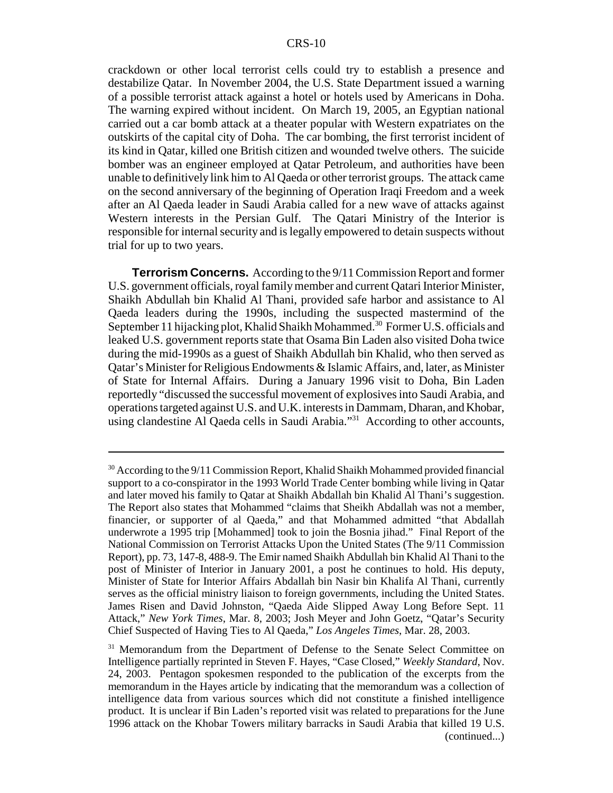crackdown or other local terrorist cells could try to establish a presence and destabilize Qatar. In November 2004, the U.S. State Department issued a warning of a possible terrorist attack against a hotel or hotels used by Americans in Doha. The warning expired without incident. On March 19, 2005, an Egyptian national carried out a car bomb attack at a theater popular with Western expatriates on the outskirts of the capital city of Doha. The car bombing, the first terrorist incident of its kind in Qatar, killed one British citizen and wounded twelve others. The suicide bomber was an engineer employed at Qatar Petroleum, and authorities have been unable to definitively link him to Al Qaeda or other terrorist groups. The attack came on the second anniversary of the beginning of Operation Iraqi Freedom and a week after an Al Qaeda leader in Saudi Arabia called for a new wave of attacks against Western interests in the Persian Gulf. The Qatari Ministry of the Interior is responsible for internal security and is legally empowered to detain suspects without trial for up to two years.

**Terrorism Concerns.** According to the 9/11 Commission Report and former U.S. government officials, royal family member and current Qatari Interior Minister, Shaikh Abdullah bin Khalid Al Thani, provided safe harbor and assistance to Al Qaeda leaders during the 1990s, including the suspected mastermind of the September 11 hijacking plot, Khalid Shaikh Mohammed.<sup>30</sup> Former U.S. officials and leaked U.S. government reports state that Osama Bin Laden also visited Doha twice during the mid-1990s as a guest of Shaikh Abdullah bin Khalid, who then served as Qatar's Minister for Religious Endowments & Islamic Affairs, and, later, as Minister of State for Internal Affairs. During a January 1996 visit to Doha, Bin Laden reportedly "discussed the successful movement of explosives into Saudi Arabia, and operations targeted against U.S. and U.K. interests in Dammam, Dharan, and Khobar, using clandestine Al Qaeda cells in Saudi Arabia."<sup>31</sup> According to other accounts,

<sup>&</sup>lt;sup>30</sup> According to the  $9/11$  Commission Report, Khalid Shaikh Mohammed provided financial support to a co-conspirator in the 1993 World Trade Center bombing while living in Qatar and later moved his family to Qatar at Shaikh Abdallah bin Khalid Al Thani's suggestion. The Report also states that Mohammed "claims that Sheikh Abdallah was not a member, financier, or supporter of al Qaeda," and that Mohammed admitted "that Abdallah underwrote a 1995 trip [Mohammed] took to join the Bosnia jihad." Final Report of the National Commission on Terrorist Attacks Upon the United States (The 9/11 Commission Report), pp. 73, 147-8, 488-9. The Emir named Shaikh Abdullah bin Khalid Al Thani to the post of Minister of Interior in January 2001, a post he continues to hold. His deputy, Minister of State for Interior Affairs Abdallah bin Nasir bin Khalifa Al Thani, currently serves as the official ministry liaison to foreign governments, including the United States. James Risen and David Johnston, "Qaeda Aide Slipped Away Long Before Sept. 11 Attack," *New York Times*, Mar. 8, 2003; Josh Meyer and John Goetz, "Qatar's Security Chief Suspected of Having Ties to Al Qaeda," *Los Angeles Times*, Mar. 28, 2003.

<sup>&</sup>lt;sup>31</sup> Memorandum from the Department of Defense to the Senate Select Committee on Intelligence partially reprinted in Steven F. Hayes, "Case Closed," *Weekly Standard*, Nov. 24, 2003. Pentagon spokesmen responded to the publication of the excerpts from the memorandum in the Hayes article by indicating that the memorandum was a collection of intelligence data from various sources which did not constitute a finished intelligence product. It is unclear if Bin Laden's reported visit was related to preparations for the June 1996 attack on the Khobar Towers military barracks in Saudi Arabia that killed 19 U.S. (continued...)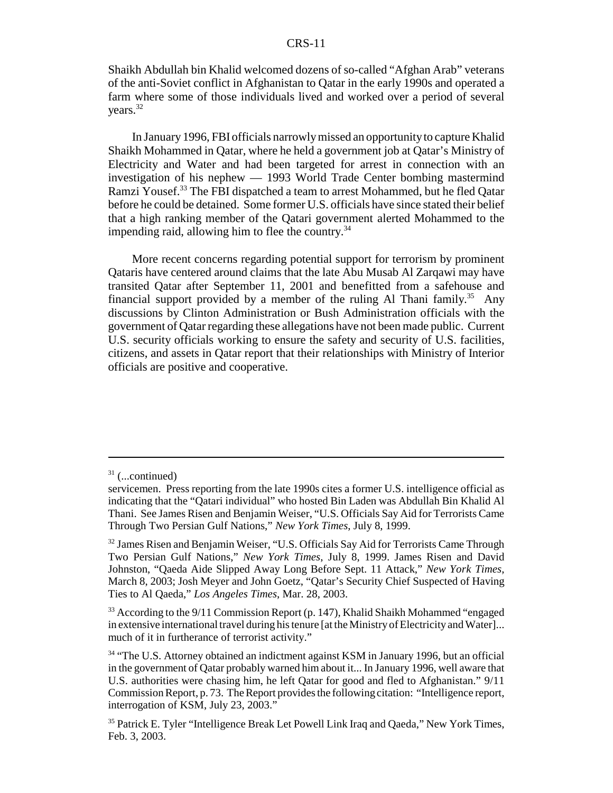#### CRS-11

Shaikh Abdullah bin Khalid welcomed dozens of so-called "Afghan Arab" veterans of the anti-Soviet conflict in Afghanistan to Qatar in the early 1990s and operated a farm where some of those individuals lived and worked over a period of several years.<sup>32</sup>

In January 1996, FBI officials narrowly missed an opportunity to capture Khalid Shaikh Mohammed in Qatar, where he held a government job at Qatar's Ministry of Electricity and Water and had been targeted for arrest in connection with an investigation of his nephew — 1993 World Trade Center bombing mastermind Ramzi Yousef.<sup>33</sup> The FBI dispatched a team to arrest Mohammed, but he fled Qatar before he could be detained. Some former U.S. officials have since stated their belief that a high ranking member of the Qatari government alerted Mohammed to the impending raid, allowing him to flee the country. $34$ 

More recent concerns regarding potential support for terrorism by prominent Qataris have centered around claims that the late Abu Musab Al Zarqawi may have transited Qatar after September 11, 2001 and benefitted from a safehouse and financial support provided by a member of the ruling Al Thani family.<sup>35</sup> Any discussions by Clinton Administration or Bush Administration officials with the government of Qatar regarding these allegations have not been made public. Current U.S. security officials working to ensure the safety and security of U.S. facilities, citizens, and assets in Qatar report that their relationships with Ministry of Interior officials are positive and cooperative.

 $31$  (...continued)

servicemen. Press reporting from the late 1990s cites a former U.S. intelligence official as indicating that the "Qatari individual" who hosted Bin Laden was Abdullah Bin Khalid Al Thani. See James Risen and Benjamin Weiser, "U.S. Officials Say Aid for Terrorists Came Through Two Persian Gulf Nations," *New York Times*, July 8, 1999.

<sup>&</sup>lt;sup>32</sup> James Risen and Benjamin Weiser, "U.S. Officials Say Aid for Terrorists Came Through Two Persian Gulf Nations," *New York Times*, July 8, 1999. James Risen and David Johnston, "Qaeda Aide Slipped Away Long Before Sept. 11 Attack," *New York Times*, March 8, 2003; Josh Meyer and John Goetz, "Qatar's Security Chief Suspected of Having Ties to Al Qaeda," *Los Angeles Times*, Mar. 28, 2003.

 $33$  According to the  $9/11$  Commission Report (p. 147), Khalid Shaikh Mohammed "engaged in extensive international travel during his tenure [at the Ministry of Electricity and Water]... much of it in furtherance of terrorist activity."

<sup>&</sup>lt;sup>34</sup> "The U.S. Attorney obtained an indictment against KSM in January 1996, but an official in the government of Qatar probably warned him about it... In January 1996, well aware that U.S. authorities were chasing him, he left Qatar for good and fled to Afghanistan." 9/11 Commission Report, p. 73. The Report provides the following citation: "Intelligence report, interrogation of KSM, July 23, 2003."

<sup>&</sup>lt;sup>35</sup> Patrick E. Tyler "Intelligence Break Let Powell Link Iraq and Qaeda," New York Times, Feb. 3, 2003.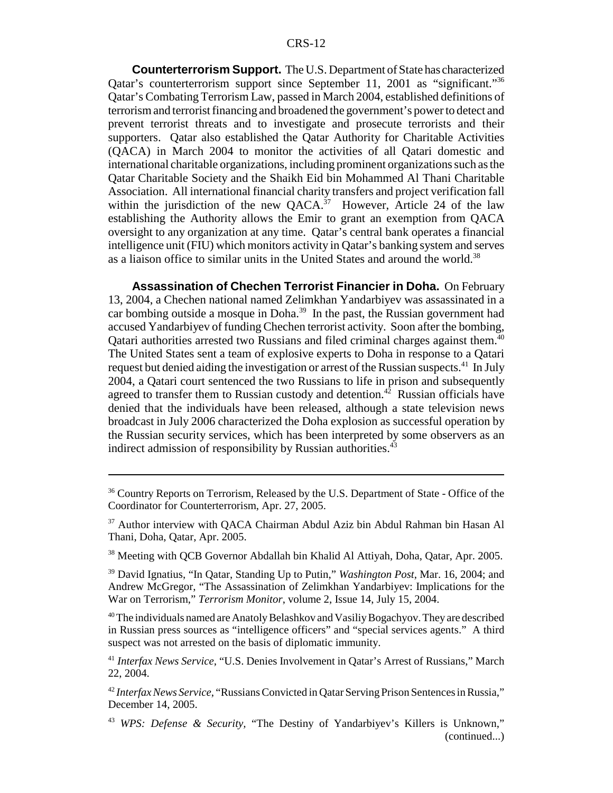**Counterterrorism Support.** The U.S. Department of State has characterized Qatar's counterterrorism support since September 11, 2001 as "significant."36 Qatar's Combating Terrorism Law, passed in March 2004, established definitions of terrorism and terrorist financing and broadened the government's power to detect and prevent terrorist threats and to investigate and prosecute terrorists and their supporters. Qatar also established the Qatar Authority for Charitable Activities (QACA) in March 2004 to monitor the activities of all Qatari domestic and international charitable organizations, including prominent organizations such as the Qatar Charitable Society and the Shaikh Eid bin Mohammed Al Thani Charitable Association. All international financial charity transfers and project verification fall within the jurisdiction of the new  $OACA^{37}$  However, Article 24 of the law establishing the Authority allows the Emir to grant an exemption from QACA oversight to any organization at any time. Qatar's central bank operates a financial intelligence unit (FIU) which monitors activity in Qatar's banking system and serves as a liaison office to similar units in the United States and around the world.<sup>38</sup>

**Assassination of Chechen Terrorist Financier in Doha.** On February 13, 2004, a Chechen national named Zelimkhan Yandarbiyev was assassinated in a car bombing outside a mosque in Doha.<sup>39</sup> In the past, the Russian government had accused Yandarbiyev of funding Chechen terrorist activity. Soon after the bombing, Qatari authorities arrested two Russians and filed criminal charges against them.<sup>40</sup> The United States sent a team of explosive experts to Doha in response to a Qatari request but denied aiding the investigation or arrest of the Russian suspects.<sup>41</sup> In July 2004, a Qatari court sentenced the two Russians to life in prison and subsequently agreed to transfer them to Russian custody and detention.<sup>42</sup> Russian officials have denied that the individuals have been released, although a state television news broadcast in July 2006 characterized the Doha explosion as successful operation by the Russian security services, which has been interpreted by some observers as an indirect admission of responsibility by Russian authorities.<sup>43</sup>

<sup>40</sup> The individuals named are Anatoly Belashkov and Vasiliy Bogachyov. They are described in Russian press sources as "intelligence officers" and "special services agents." A third suspect was not arrested on the basis of diplomatic immunity.

<sup>&</sup>lt;sup>36</sup> Country Reports on Terrorism, Released by the U.S. Department of State - Office of the Coordinator for Counterterrorism, Apr. 27, 2005.

<sup>&</sup>lt;sup>37</sup> Author interview with OACA Chairman Abdul Aziz bin Abdul Rahman bin Hasan Al Thani, Doha, Qatar, Apr. 2005.

<sup>&</sup>lt;sup>38</sup> Meeting with OCB Governor Abdallah bin Khalid Al Attiyah, Doha, Qatar, Apr. 2005.

<sup>39</sup> David Ignatius, "In Qatar, Standing Up to Putin," *Washington Post*, Mar. 16, 2004; and Andrew McGregor, "The Assassination of Zelimkhan Yandarbiyev: Implications for the War on Terrorism," *Terrorism Monitor*, volume 2, Issue 14, July 15, 2004.

<sup>41</sup> *Interfax News Service*, "U.S. Denies Involvement in Qatar's Arrest of Russians," March 22, 2004.

<sup>42</sup> *Interfax News Service*, "Russians Convicted in Qatar Serving Prison Sentences in Russia," December 14, 2005.

<sup>43</sup> *WPS: Defense & Security,* "The Destiny of Yandarbiyev's Killers is Unknown," (continued...)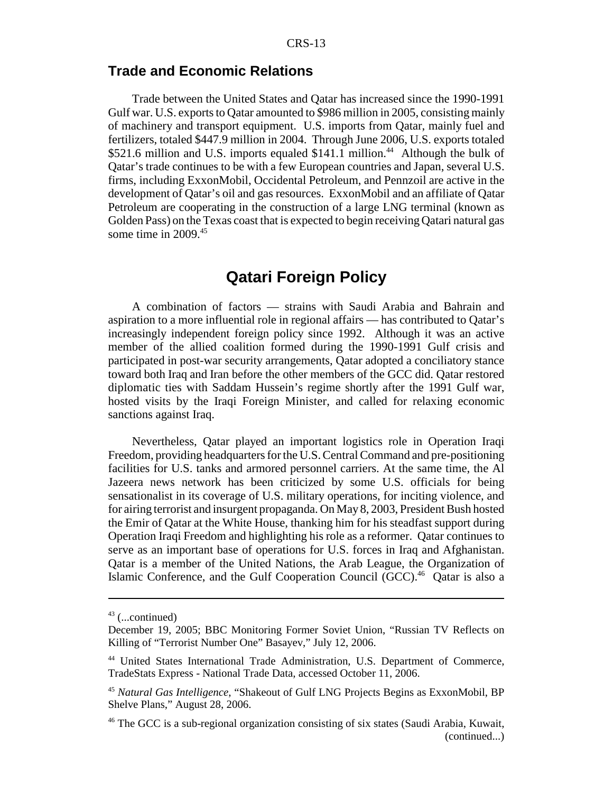#### **Trade and Economic Relations**

Trade between the United States and Qatar has increased since the 1990-1991 Gulf war. U.S. exports to Qatar amounted to \$986 million in 2005, consisting mainly of machinery and transport equipment. U.S. imports from Qatar, mainly fuel and fertilizers, totaled \$447.9 million in 2004. Through June 2006, U.S. exports totaled \$521.6 million and U.S. imports equaled \$141.1 million.<sup>44</sup> Although the bulk of Qatar's trade continues to be with a few European countries and Japan, several U.S. firms, including ExxonMobil, Occidental Petroleum, and Pennzoil are active in the development of Qatar's oil and gas resources. ExxonMobil and an affiliate of Qatar Petroleum are cooperating in the construction of a large LNG terminal (known as Golden Pass) on the Texas coast that is expected to begin receiving Qatari natural gas some time in 2009.<sup>45</sup>

## **Qatari Foreign Policy**

A combination of factors — strains with Saudi Arabia and Bahrain and aspiration to a more influential role in regional affairs — has contributed to Qatar's increasingly independent foreign policy since 1992. Although it was an active member of the allied coalition formed during the 1990-1991 Gulf crisis and participated in post-war security arrangements, Qatar adopted a conciliatory stance toward both Iraq and Iran before the other members of the GCC did. Qatar restored diplomatic ties with Saddam Hussein's regime shortly after the 1991 Gulf war, hosted visits by the Iraqi Foreign Minister, and called for relaxing economic sanctions against Iraq.

Nevertheless, Qatar played an important logistics role in Operation Iraqi Freedom, providing headquarters for the U.S. Central Command and pre-positioning facilities for U.S. tanks and armored personnel carriers. At the same time, the Al Jazeera news network has been criticized by some U.S. officials for being sensationalist in its coverage of U.S. military operations, for inciting violence, and for airing terrorist and insurgent propaganda. On May 8, 2003, President Bush hosted the Emir of Qatar at the White House, thanking him for his steadfast support during Operation Iraqi Freedom and highlighting his role as a reformer. Qatar continues to serve as an important base of operations for U.S. forces in Iraq and Afghanistan. Qatar is a member of the United Nations, the Arab League, the Organization of Islamic Conference, and the Gulf Cooperation Council (GCC).<sup>46</sup> Qatar is also a

 $43$  (...continued)

December 19, 2005; BBC Monitoring Former Soviet Union, "Russian TV Reflects on Killing of "Terrorist Number One" Basayev," July 12, 2006.

<sup>44</sup> United States International Trade Administration, U.S. Department of Commerce, TradeStats Express - National Trade Data, accessed October 11, 2006.

<sup>45</sup> *Natural Gas Intelligence*, "Shakeout of Gulf LNG Projects Begins as ExxonMobil, BP Shelve Plans," August 28, 2006.

<sup>46</sup> The GCC is a sub-regional organization consisting of six states (Saudi Arabia, Kuwait, (continued...)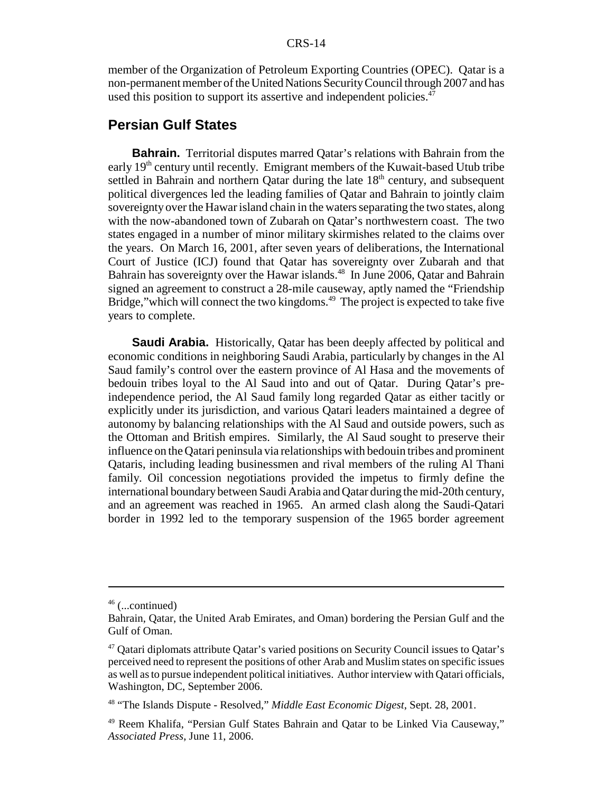#### CRS-14

member of the Organization of Petroleum Exporting Countries (OPEC). Qatar is a non-permanent member of the United Nations Security Council through 2007 and has used this position to support its assertive and independent policies.<sup>47</sup>

#### **Persian Gulf States**

**Bahrain.** Territorial disputes marred Oatar's relations with Bahrain from the early 19th century until recently. Emigrant members of the Kuwait-based Utub tribe settled in Bahrain and northern Qatar during the late  $18<sup>th</sup>$  century, and subsequent political divergences led the leading families of Qatar and Bahrain to jointly claim sovereignty over the Hawar island chain in the waters separating the two states, along with the now-abandoned town of Zubarah on Qatar's northwestern coast. The two states engaged in a number of minor military skirmishes related to the claims over the years. On March 16, 2001, after seven years of deliberations, the International Court of Justice (ICJ) found that Qatar has sovereignty over Zubarah and that Bahrain has sovereignty over the Hawar islands.<sup>48</sup> In June 2006, Qatar and Bahrain signed an agreement to construct a 28-mile causeway, aptly named the "Friendship Bridge," which will connect the two kingdoms.<sup>49</sup> The project is expected to take five years to complete.

**Saudi Arabia.** Historically, Qatar has been deeply affected by political and economic conditions in neighboring Saudi Arabia, particularly by changes in the Al Saud family's control over the eastern province of Al Hasa and the movements of bedouin tribes loyal to the Al Saud into and out of Qatar. During Qatar's preindependence period, the Al Saud family long regarded Qatar as either tacitly or explicitly under its jurisdiction, and various Qatari leaders maintained a degree of autonomy by balancing relationships with the Al Saud and outside powers, such as the Ottoman and British empires. Similarly, the Al Saud sought to preserve their influence on the Qatari peninsula via relationships with bedouin tribes and prominent Qataris, including leading businessmen and rival members of the ruling Al Thani family. Oil concession negotiations provided the impetus to firmly define the international boundary between Saudi Arabia and Qatar during the mid-20th century, and an agreement was reached in 1965. An armed clash along the Saudi-Qatari border in 1992 led to the temporary suspension of the 1965 border agreement

 $46$  (...continued)

Bahrain, Qatar, the United Arab Emirates, and Oman) bordering the Persian Gulf and the Gulf of Oman.

<sup>47</sup> Qatari diplomats attribute Qatar's varied positions on Security Council issues to Qatar's perceived need to represent the positions of other Arab and Muslim states on specific issues as well as to pursue independent political initiatives. Author interview with Qatari officials, Washington, DC, September 2006.

<sup>48 &</sup>quot;The Islands Dispute - Resolved," *Middle East Economic Digest*, Sept. 28, 2001.

<sup>49</sup> Reem Khalifa, "Persian Gulf States Bahrain and Qatar to be Linked Via Causeway," *Associated Press*, June 11, 2006.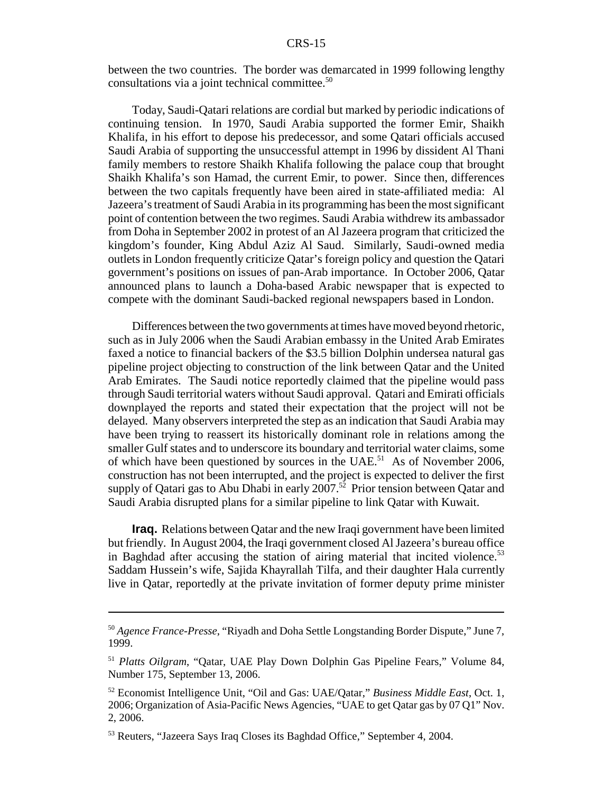between the two countries. The border was demarcated in 1999 following lengthy consultations via a joint technical committee.50

Today, Saudi-Qatari relations are cordial but marked by periodic indications of continuing tension. In 1970, Saudi Arabia supported the former Emir, Shaikh Khalifa, in his effort to depose his predecessor, and some Qatari officials accused Saudi Arabia of supporting the unsuccessful attempt in 1996 by dissident Al Thani family members to restore Shaikh Khalifa following the palace coup that brought Shaikh Khalifa's son Hamad, the current Emir, to power. Since then, differences between the two capitals frequently have been aired in state-affiliated media: Al Jazeera's treatment of Saudi Arabia in its programming has been the most significant point of contention between the two regimes. Saudi Arabia withdrew its ambassador from Doha in September 2002 in protest of an Al Jazeera program that criticized the kingdom's founder, King Abdul Aziz Al Saud. Similarly, Saudi-owned media outlets in London frequently criticize Qatar's foreign policy and question the Qatari government's positions on issues of pan-Arab importance. In October 2006, Qatar announced plans to launch a Doha-based Arabic newspaper that is expected to compete with the dominant Saudi-backed regional newspapers based in London.

Differences between the two governments at times have moved beyond rhetoric, such as in July 2006 when the Saudi Arabian embassy in the United Arab Emirates faxed a notice to financial backers of the \$3.5 billion Dolphin undersea natural gas pipeline project objecting to construction of the link between Qatar and the United Arab Emirates. The Saudi notice reportedly claimed that the pipeline would pass through Saudi territorial waters without Saudi approval. Qatari and Emirati officials downplayed the reports and stated their expectation that the project will not be delayed. Many observers interpreted the step as an indication that Saudi Arabia may have been trying to reassert its historically dominant role in relations among the smaller Gulf states and to underscore its boundary and territorial water claims, some of which have been questioned by sources in the  $UAE$ <sup>51</sup>. As of November 2006, construction has not been interrupted, and the project is expected to deliver the first supply of Qatari gas to Abu Dhabi in early 2007.<sup>52</sup> Prior tension between Qatar and Saudi Arabia disrupted plans for a similar pipeline to link Qatar with Kuwait.

**Iraq.** Relations between Qatar and the new Iraqi government have been limited but friendly. In August 2004, the Iraqi government closed Al Jazeera's bureau office in Baghdad after accusing the station of airing material that incited violence.<sup>53</sup> Saddam Hussein's wife, Sajida Khayrallah Tilfa, and their daughter Hala currently live in Qatar, reportedly at the private invitation of former deputy prime minister

<sup>50</sup> *Agence France-Presse*, "Riyadh and Doha Settle Longstanding Border Dispute," June 7, 1999.

<sup>51</sup> *Platts Oilgram*, "Qatar, UAE Play Down Dolphin Gas Pipeline Fears," Volume 84, Number 175, September 13, 2006.

<sup>52</sup> Economist Intelligence Unit, "Oil and Gas: UAE/Qatar," *Business Middle East*, Oct. 1, 2006; Organization of Asia-Pacific News Agencies, "UAE to get Qatar gas by 07 Q1" Nov. 2, 2006.

<sup>53</sup> Reuters, "Jazeera Says Iraq Closes its Baghdad Office," September 4, 2004.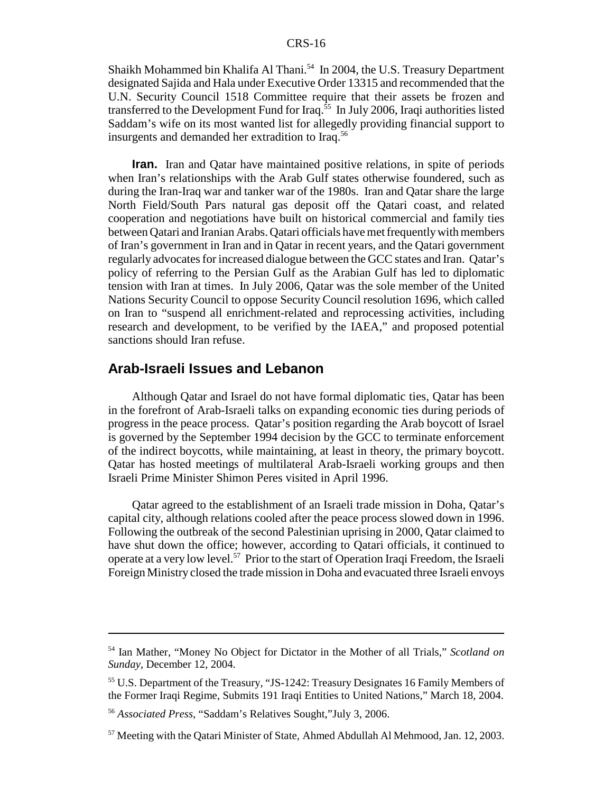Shaikh Mohammed bin Khalifa Al Thani.<sup>54</sup> In 2004, the U.S. Treasury Department designated Sajida and Hala under Executive Order 13315 and recommended that the U.N. Security Council 1518 Committee require that their assets be frozen and transferred to the Development Fund for Iraq.<sup>55</sup> In July 2006, Iraqi authorities listed Saddam's wife on its most wanted list for allegedly providing financial support to insurgents and demanded her extradition to Iraq.<sup>56</sup>

**Iran.** Iran and Qatar have maintained positive relations, in spite of periods when Iran's relationships with the Arab Gulf states otherwise foundered, such as during the Iran-Iraq war and tanker war of the 1980s. Iran and Qatar share the large North Field/South Pars natural gas deposit off the Qatari coast, and related cooperation and negotiations have built on historical commercial and family ties between Qatari and Iranian Arabs. Qatari officials have met frequently with members of Iran's government in Iran and in Qatar in recent years, and the Qatari government regularly advocates for increased dialogue between the GCC states and Iran. Qatar's policy of referring to the Persian Gulf as the Arabian Gulf has led to diplomatic tension with Iran at times. In July 2006, Qatar was the sole member of the United Nations Security Council to oppose Security Council resolution 1696, which called on Iran to "suspend all enrichment-related and reprocessing activities, including research and development, to be verified by the IAEA," and proposed potential sanctions should Iran refuse.

#### **Arab-Israeli Issues and Lebanon**

Although Qatar and Israel do not have formal diplomatic ties, Qatar has been in the forefront of Arab-Israeli talks on expanding economic ties during periods of progress in the peace process. Qatar's position regarding the Arab boycott of Israel is governed by the September 1994 decision by the GCC to terminate enforcement of the indirect boycotts, while maintaining, at least in theory, the primary boycott. Qatar has hosted meetings of multilateral Arab-Israeli working groups and then Israeli Prime Minister Shimon Peres visited in April 1996.

Qatar agreed to the establishment of an Israeli trade mission in Doha, Qatar's capital city, although relations cooled after the peace process slowed down in 1996. Following the outbreak of the second Palestinian uprising in 2000, Qatar claimed to have shut down the office; however, according to Qatari officials, it continued to operate at a very low level.57 Prior to the start of Operation Iraqi Freedom, the Israeli Foreign Ministry closed the trade mission in Doha and evacuated three Israeli envoys

<sup>54</sup> Ian Mather, "Money No Object for Dictator in the Mother of all Trials," *Scotland on Sunday*, December 12, 2004.

<sup>55</sup> U.S. Department of the Treasury, "JS-1242: Treasury Designates 16 Family Members of the Former Iraqi Regime, Submits 191 Iraqi Entities to United Nations," March 18, 2004.

<sup>56</sup> *Associated Press*, "Saddam's Relatives Sought,"July 3, 2006.

 $57$  Meeting with the Oatari Minister of State, Ahmed Abdullah Al Mehmood, Jan. 12, 2003.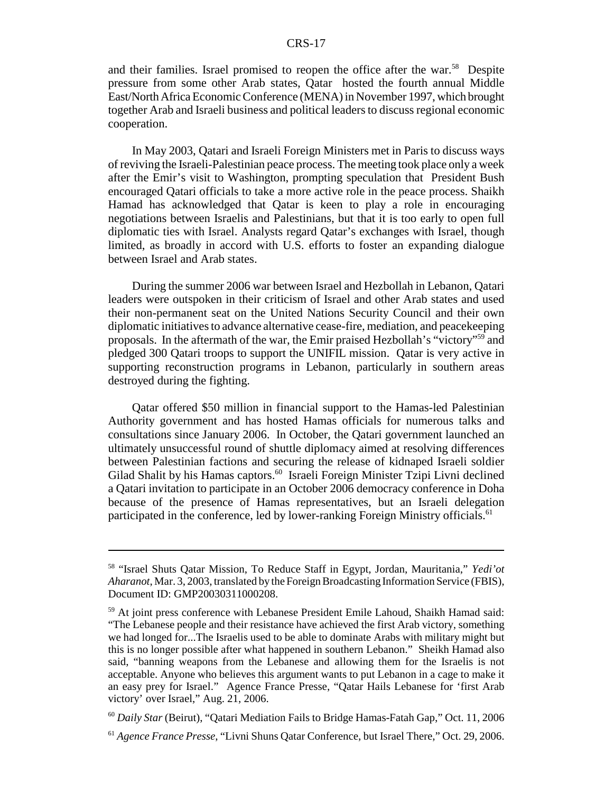#### CRS-17

and their families. Israel promised to reopen the office after the war.<sup>58</sup> Despite pressure from some other Arab states, Qatar hosted the fourth annual Middle East/North Africa Economic Conference (MENA) in November 1997, which brought together Arab and Israeli business and political leaders to discuss regional economic cooperation.

In May 2003, Qatari and Israeli Foreign Ministers met in Paris to discuss ways of reviving the Israeli-Palestinian peace process. The meeting took place only a week after the Emir's visit to Washington, prompting speculation that President Bush encouraged Qatari officials to take a more active role in the peace process. Shaikh Hamad has acknowledged that Qatar is keen to play a role in encouraging negotiations between Israelis and Palestinians, but that it is too early to open full diplomatic ties with Israel. Analysts regard Qatar's exchanges with Israel, though limited, as broadly in accord with U.S. efforts to foster an expanding dialogue between Israel and Arab states.

During the summer 2006 war between Israel and Hezbollah in Lebanon, Qatari leaders were outspoken in their criticism of Israel and other Arab states and used their non-permanent seat on the United Nations Security Council and their own diplomatic initiatives to advance alternative cease-fire, mediation, and peacekeeping proposals. In the aftermath of the war, the Emir praised Hezbollah's "victory"59 and pledged 300 Qatari troops to support the UNIFIL mission. Qatar is very active in supporting reconstruction programs in Lebanon, particularly in southern areas destroyed during the fighting.

Qatar offered \$50 million in financial support to the Hamas-led Palestinian Authority government and has hosted Hamas officials for numerous talks and consultations since January 2006. In October, the Qatari government launched an ultimately unsuccessful round of shuttle diplomacy aimed at resolving differences between Palestinian factions and securing the release of kidnaped Israeli soldier Gilad Shalit by his Hamas captors.<sup>60</sup> Israeli Foreign Minister Tzipi Livni declined a Qatari invitation to participate in an October 2006 democracy conference in Doha because of the presence of Hamas representatives, but an Israeli delegation participated in the conference, led by lower-ranking Foreign Ministry officials.<sup>61</sup>

<sup>58 &</sup>quot;Israel Shuts Qatar Mission, To Reduce Staff in Egypt, Jordan, Mauritania," *Yedi'ot Aharanot*, Mar. 3, 2003, translated by the Foreign Broadcasting Information Service (FBIS), Document ID: GMP20030311000208.

<sup>59</sup> At joint press conference with Lebanese President Emile Lahoud, Shaikh Hamad said: "The Lebanese people and their resistance have achieved the first Arab victory, something we had longed for...The Israelis used to be able to dominate Arabs with military might but this is no longer possible after what happened in southern Lebanon." Sheikh Hamad also said, "banning weapons from the Lebanese and allowing them for the Israelis is not acceptable. Anyone who believes this argument wants to put Lebanon in a cage to make it an easy prey for Israel." Agence France Presse, "Qatar Hails Lebanese for 'first Arab victory' over Israel," Aug. 21, 2006.

<sup>60</sup> *Daily Star* (Beirut), "Qatari Mediation Fails to Bridge Hamas-Fatah Gap," Oct. 11, 2006

<sup>61</sup> *Agence France Presse*, "Livni Shuns Qatar Conference, but Israel There," Oct. 29, 2006.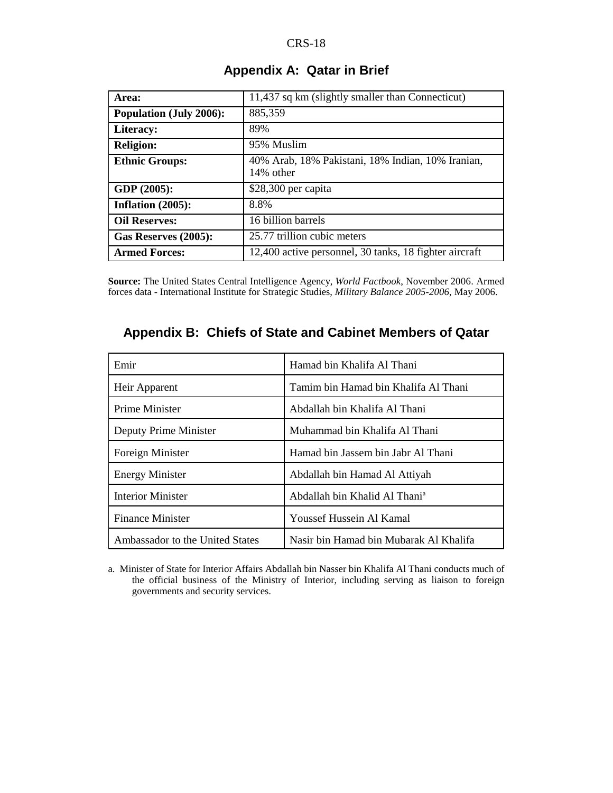| Area:                          | 11,437 sq km (slightly smaller than Connecticut)               |
|--------------------------------|----------------------------------------------------------------|
| <b>Population (July 2006):</b> | 885,359                                                        |
| Literacy:                      | 89%                                                            |
| <b>Religion:</b>               | 95% Muslim                                                     |
| <b>Ethnic Groups:</b>          | 40% Arab, 18% Pakistani, 18% Indian, 10% Iranian,<br>14% other |
| GDP (2005):                    | $$28,300$ per capita                                           |
| Inflation $(2005)$ :           | 8.8%                                                           |
| <b>Oil Reserves:</b>           | 16 billion barrels                                             |
| Gas Reserves (2005):           | 25.77 trillion cubic meters                                    |
| <b>Armed Forces:</b>           | 12,400 active personnel, 30 tanks, 18 fighter aircraft         |

### **Appendix A: Qatar in Brief**

**Source:** The United States Central Intelligence Agency, *World Factbook*, November 2006. Armed forces data - International Institute for Strategic Studies, *Military Balance 2005-2006*, May 2006.

| Appendix B: Chiefs of State and Cabinet Members of Qatar |  |
|----------------------------------------------------------|--|
|                                                          |  |

| Emir                            | Hamad bin Khalifa Al Thani                |
|---------------------------------|-------------------------------------------|
| Heir Apparent                   | Tamim bin Hamad bin Khalifa Al Thani      |
| <b>Prime Minister</b>           | Abdallah bin Khalifa Al Thani             |
| Deputy Prime Minister           | Muhammad bin Khalifa Al Thani             |
| Foreign Minister                | Hamad bin Jassem bin Jabr Al Thani        |
| <b>Energy Minister</b>          | Abdallah bin Hamad Al Attiyah             |
| <b>Interior Minister</b>        | Abdallah bin Khalid Al Thani <sup>a</sup> |
| <b>Finance Minister</b>         | Youssef Hussein Al Kamal                  |
| Ambassador to the United States | Nasir bin Hamad bin Mubarak Al Khalifa    |

a. Minister of State for Interior Affairs Abdallah bin Nasser bin Khalifa Al Thani conducts much of the official business of the Ministry of Interior, including serving as liaison to foreign governments and security services.